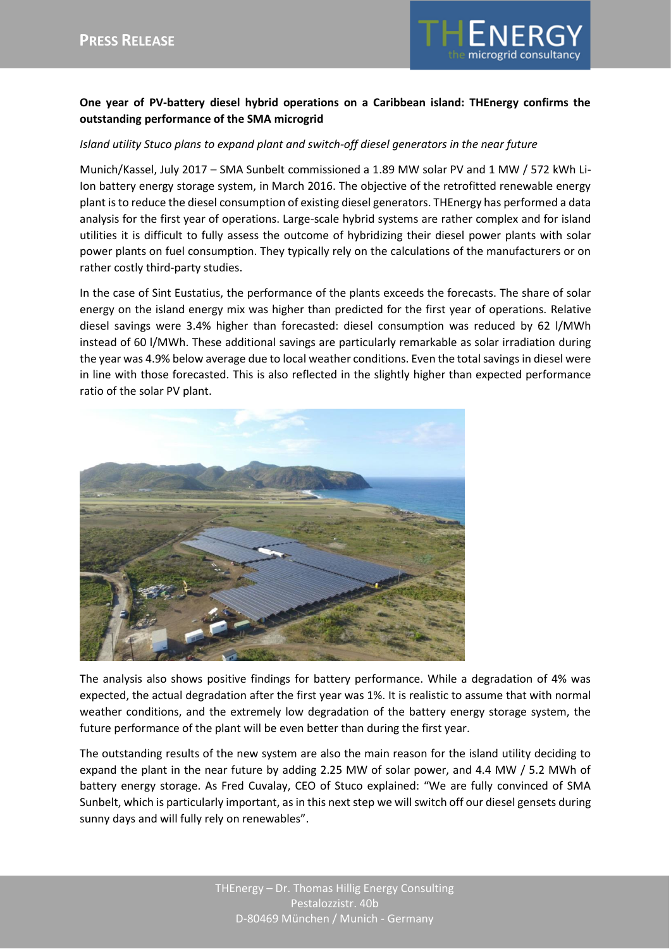

## **One year of PV-battery diesel hybrid operations on a Caribbean island: THEnergy confirms the outstanding performance of the SMA microgrid**

## *Island utility Stuco plans to expand plant and switch-off diesel generators in the near future*

Munich/Kassel, July 2017 – SMA Sunbelt commissioned a 1.89 MW solar PV and 1 MW / 572 kWh Li-Ion battery energy storage system, in March 2016. The objective of the retrofitted renewable energy plant is to reduce the diesel consumption of existing diesel generators. THEnergy has performed a data analysis for the first year of operations. Large-scale hybrid systems are rather complex and for island utilities it is difficult to fully assess the outcome of hybridizing their diesel power plants with solar power plants on fuel consumption. They typically rely on the calculations of the manufacturers or on rather costly third-party studies.

In the case of Sint Eustatius, the performance of the plants exceeds the forecasts. The share of solar energy on the island energy mix was higher than predicted for the first year of operations. Relative diesel savings were 3.4% higher than forecasted: diesel consumption was reduced by 62 l/MWh instead of 60 l/MWh. These additional savings are particularly remarkable as solar irradiation during the year was 4.9% below average due to local weather conditions. Even the totalsavings in diesel were in line with those forecasted. This is also reflected in the slightly higher than expected performance ratio of the solar PV plant.



The analysis also shows positive findings for battery performance. While a degradation of 4% was expected, the actual degradation after the first year was 1%. It is realistic to assume that with normal weather conditions, and the extremely low degradation of the battery energy storage system, the future performance of the plant will be even better than during the first year.

The outstanding results of the new system are also the main reason for the island utility deciding to expand the plant in the near future by adding 2.25 MW of solar power, and 4.4 MW / 5.2 MWh of battery energy storage. As Fred Cuvalay, CEO of Stuco explained: "We are fully convinced of SMA Sunbelt, which is particularly important, as in this next step we will switch off our diesel gensets during sunny days and will fully rely on renewables".